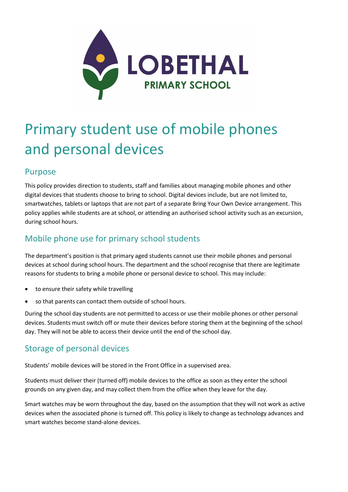

# Primary student use of mobile phones and personal devices

## Purpose

This policy provides direction to students, staff and families about managing mobile phones and other digital devices that students choose to bring to school. Digital devices include, but are not limited to, smartwatches, tablets or laptops that are not part of a separate Bring Your Own Device arrangement. This policy applies while students are at school, or attending an authorised school activity such as an excursion, during school hours.

# Mobile phone use for primary school students

The department's position is that primary aged students cannot use their mobile phones and personal devices at school during school hours. The department and the school recognise that there are legitimate reasons for students to bring a mobile phone or personal device to school. This may include:

- to ensure their safety while travelling
- so that parents can contact them outside of school hours.

During the school day students are not permitted to access or use their mobile phones or other personal devices. Students must switch off or mute their devices before storing them at the beginning of the school day. They will not be able to access their device until the end of the school day.

## Storage of personal devices

Students' mobile devices will be stored in the Front Office in a supervised area.

Students must deliver their (turned off) mobile devices to the office as soon as they enter the school grounds on any given day, and may collect them from the office when they leave for the day.

Smart watches may be worn throughout the day, based on the assumption that they will not work as active devices when the associated phone is turned off. This policy is likely to change as technology advances and smart watches become stand-alone devices.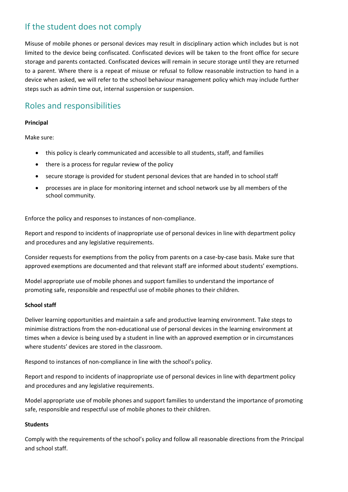## If the student does not comply

Misuse of mobile phones or personal devices may result in disciplinary action which includes but is not limited to the device being confiscated. Confiscated devices will be taken to the front office for secure storage and parents contacted. Confiscated devices will remain in secure storage until they are returned to a parent. Where there is a repeat of misuse or refusal to follow reasonable instruction to hand in a device when asked, we will refer to the school behaviour management policy which may include further steps such as admin time out, internal suspension or suspension.

## Roles and responsibilities

#### **Principal**

Make sure:

- this policy is clearly communicated and accessible to all students, staff, and families
- there is a process for regular review of the policy
- secure storage is provided for student personal devices that are handed in to school staff
- processes are in place for monitoring internet and school network use by all members of the school community.

Enforce the policy and responses to instances of non-compliance.

Report and respond to incidents of inappropriate use of personal devices in line with department policy and procedures and any legislative requirements.

Consider requests for exemptions from the policy from parents on a case-by-case basis. Make sure that approved exemptions are documented and that relevant staff are informed about students' exemptions.

Model appropriate use of mobile phones and support families to understand the importance of promoting safe, responsible and respectful use of mobile phones to their children.

#### **School staff**

Deliver learning opportunities and maintain a safe and productive learning environment. Take steps to minimise distractions from the non-educational use of personal devices in the learning environment at times when a device is being used by a student in line with an approved exemption or in circumstances where students' devices are stored in the classroom.

Respond to instances of non-compliance in line with the school's policy.

Report and respond to incidents of inappropriate use of personal devices in line with department policy and procedures and any legislative requirements.

Model appropriate use of mobile phones and support families to understand the importance of promoting safe, responsible and respectful use of mobile phones to their children.

#### **Students**

Comply with the requirements of the school's policy and follow all reasonable directions from the Principal and school staff.